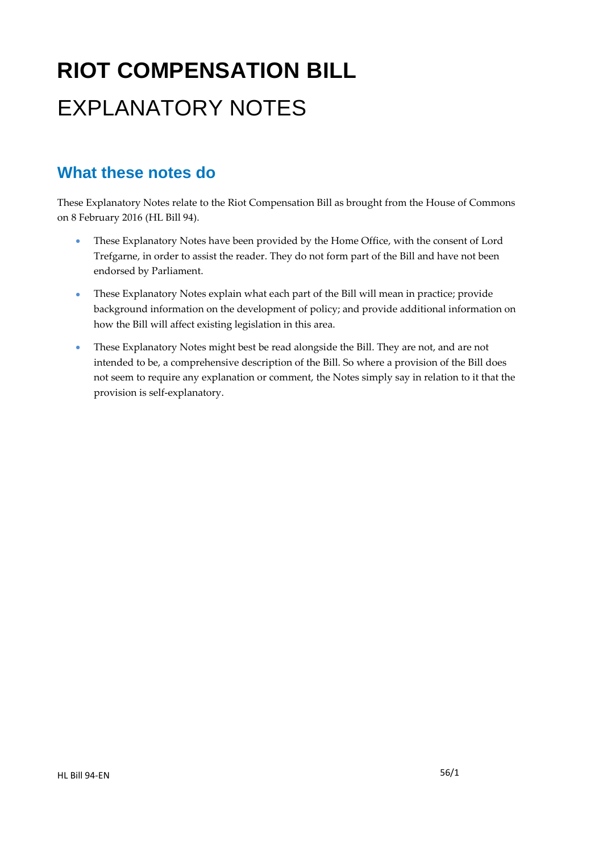# **RIOT COMPENSATION BILL**  EXPLANATORY NOTES

### **What these notes do**

- These Explanatory Notes have been provided by the Home Office, with the consent of Lord Trefgarne, in order to assist the reader. They do not form part of the Bill and have not been endorsed by Parliament.
- These Explanatory Notes explain what each part of the Bill will mean in practice; provide background information on the development of policy; and provide additional information on how the Bill will affect existing legislation in this area.
- These Explanatory Notes might best be read alongside the Bill. They are not, and are not intended to be, a comprehensive description of the Bill. So where a provision of the Bill does not seem to require any explanation or comment, the Notes simply say in relation to it that the provision is self-explanatory.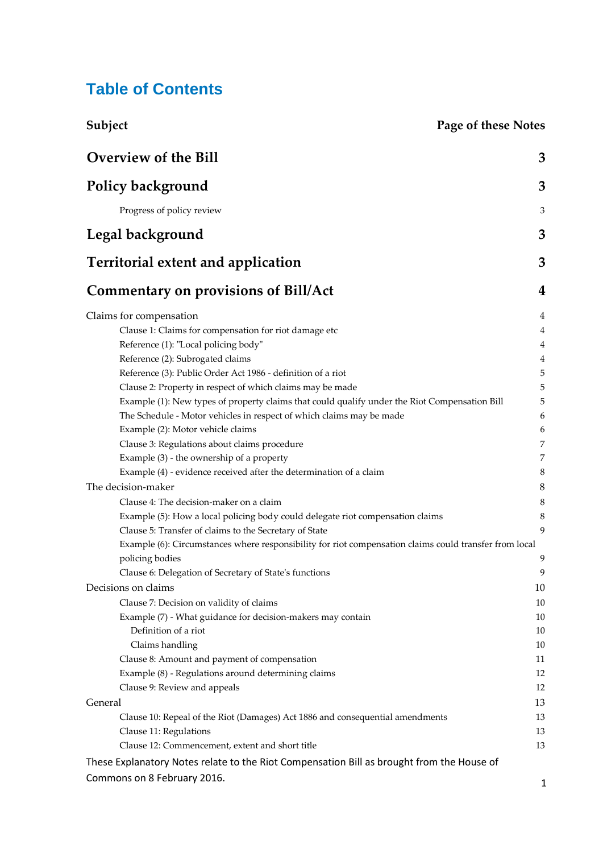# **Table of Contents**

| Subject                                                                                                                                                                                                                                                                                                                                                                                                                                                                                                                                                                                                                                                                                         | <b>Page of these Notes</b>                                                                                        |  |
|-------------------------------------------------------------------------------------------------------------------------------------------------------------------------------------------------------------------------------------------------------------------------------------------------------------------------------------------------------------------------------------------------------------------------------------------------------------------------------------------------------------------------------------------------------------------------------------------------------------------------------------------------------------------------------------------------|-------------------------------------------------------------------------------------------------------------------|--|
| <b>Overview of the Bill</b>                                                                                                                                                                                                                                                                                                                                                                                                                                                                                                                                                                                                                                                                     | 3                                                                                                                 |  |
| <b>Policy background</b>                                                                                                                                                                                                                                                                                                                                                                                                                                                                                                                                                                                                                                                                        | 3                                                                                                                 |  |
| Progress of policy review                                                                                                                                                                                                                                                                                                                                                                                                                                                                                                                                                                                                                                                                       | 3                                                                                                                 |  |
| Legal background                                                                                                                                                                                                                                                                                                                                                                                                                                                                                                                                                                                                                                                                                | 3                                                                                                                 |  |
| <b>Territorial extent and application</b>                                                                                                                                                                                                                                                                                                                                                                                                                                                                                                                                                                                                                                                       | 3                                                                                                                 |  |
| <b>Commentary on provisions of Bill/Act</b>                                                                                                                                                                                                                                                                                                                                                                                                                                                                                                                                                                                                                                                     | 4                                                                                                                 |  |
| Claims for compensation<br>Clause 1: Claims for compensation for riot damage etc<br>Reference (1): "Local policing body"<br>Reference (2): Subrogated claims<br>Reference (3): Public Order Act 1986 - definition of a riot<br>Clause 2: Property in respect of which claims may be made<br>Example (1): New types of property claims that could qualify under the Riot Compensation Bill<br>The Schedule - Motor vehicles in respect of which claims may be made<br>Example (2): Motor vehicle claims<br>Clause 3: Regulations about claims procedure<br>Example (3) - the ownership of a property<br>Example (4) - evidence received after the determination of a claim<br>The decision-maker | 4<br>$\overline{4}$<br>$\overline{4}$<br>$\overline{4}$<br>5<br>5<br>5<br>6<br>6<br>7<br>$\overline{7}$<br>8<br>8 |  |
| Clause 4: The decision-maker on a claim<br>Example (5): How a local policing body could delegate riot compensation claims<br>Clause 5: Transfer of claims to the Secretary of State<br>Example (6): Circumstances where responsibility for riot compensation claims could transfer from local<br>policing bodies<br>Clause 6: Delegation of Secretary of State's functions                                                                                                                                                                                                                                                                                                                      | 8<br>8<br>9<br>9<br>9                                                                                             |  |
| Decisions on claims<br>Clause 7: Decision on validity of claims<br>Example (7) - What guidance for decision-makers may contain<br>Definition of a riot<br>Claims handling<br>Clause 8: Amount and payment of compensation<br>Example (8) - Regulations around determining claims<br>Clause 9: Review and appeals                                                                                                                                                                                                                                                                                                                                                                                | 10<br>10<br>10<br>10<br>10<br>11<br>12<br>12                                                                      |  |
| General<br>Clause 10: Repeal of the Riot (Damages) Act 1886 and consequential amendments<br>Clause 11: Regulations<br>Clause 12: Commencement, extent and short title<br>These Explanatory Notes relate to the Riot Compensation Bill as brought from the House of                                                                                                                                                                                                                                                                                                                                                                                                                              | 13<br>13<br>13<br>13                                                                                              |  |
| Commons on 8 February 2016.                                                                                                                                                                                                                                                                                                                                                                                                                                                                                                                                                                                                                                                                     | 1                                                                                                                 |  |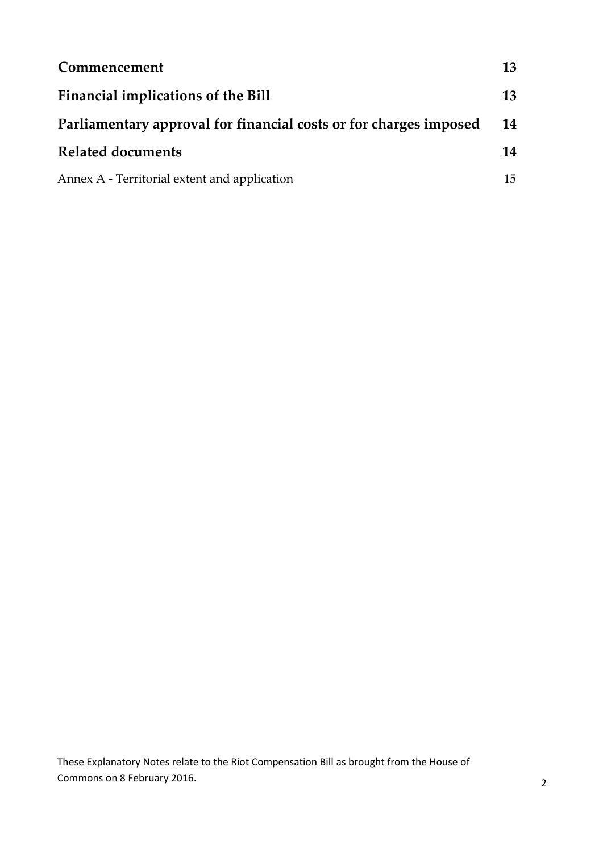| Commencement                                                      | 13 |
|-------------------------------------------------------------------|----|
| Financial implications of the Bill                                | 13 |
| Parliamentary approval for financial costs or for charges imposed | 14 |
| <b>Related documents</b>                                          | 14 |
| Annex A - Territorial extent and application                      | 15 |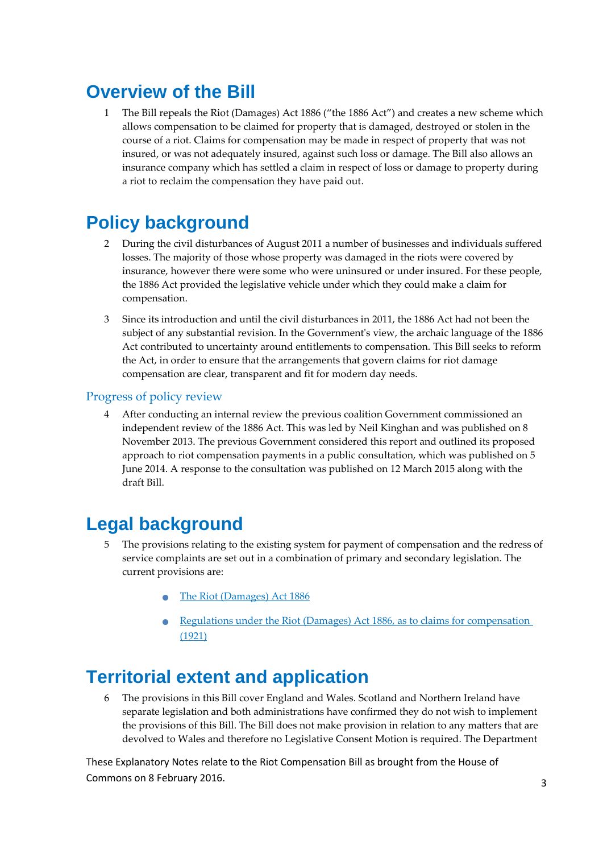# <span id="page-3-0"></span>**Overview of the Bill**

1 The Bill repeals the Riot (Damages) Act 1886 ("the 1886 Act") and creates a new scheme which allows compensation to be claimed for property that is damaged, destroyed or stolen in the course of a riot. Claims for compensation may be made in respect of property that was not insured, or was not adequately insured, against such loss or damage. The Bill also allows an insurance company which has settled a claim in respect of loss or damage to property during a riot to reclaim the compensation they have paid out.

# <span id="page-3-1"></span>**Policy background**

- 2 During the civil disturbances of August 2011 a number of businesses and individuals suffered losses. The majority of those whose property was damaged in the riots were covered by insurance, however there were some who were uninsured or under insured. For these people, the 1886 Act provided the legislative vehicle under which they could make a claim for compensation.
- 3 Since its introduction and until the civil disturbances in 2011, the 1886 Act had not been the subject of any substantial revision. In the Government's view, the archaic language of the 1886 Act contributed to uncertainty around entitlements to compensation. This Bill seeks to reform the Act, in order to ensure that the arrangements that govern claims for riot damage compensation are clear, transparent and fit for modern day needs.

#### <span id="page-3-2"></span>Progress of policy review

4 After conducting an internal review the previous coalition Government commissioned an independent review of the 1886 Act. This was led by Neil Kinghan and was published on 8 November 2013. The previous Government considered this report and outlined its proposed approach to riot compensation payments in a public consultation, which was published on 5 June 2014. A response to the consultation was published on 12 March 2015 along with the draft Bill.

## <span id="page-3-3"></span>**Legal background**

- 5 The provisions relating to the existing system for payment of compensation and the redress of service complaints are set out in a combination of primary and secondary legislation. The current provisions are:
	- [The Riot \(Damages\) Act 1886](http://www.legislation.gov.uk/ukpga/Vict/49-50/38/contents)
	- [Regulations under the Riot \(Damages\) Act 1886, as to claims for compensation](http://www.legislation.gov.uk/uksro/1921/1536/pdfs/uksro_19211536_en.pdf)  [\(1921\)](http://www.legislation.gov.uk/uksro/1921/1536/pdfs/uksro_19211536_en.pdf)

## <span id="page-3-4"></span>**Territorial extent and application**

6 The provisions in this Bill cover England and Wales. Scotland and Northern Ireland have separate legislation and both administrations have confirmed they do not wish to implement the provisions of this Bill. The Bill does not make provision in relation to any matters that are devolved to Wales and therefore no Legislative Consent Motion is required. The Department

These Explanatory Notes relate to the Riot Compensation Bill as brought from the House of Commons on 8 February 2016. And the state of the state of the state of the state of the state of the state of the state of the state of the state of the state of the state of the state of the state of the state of the stat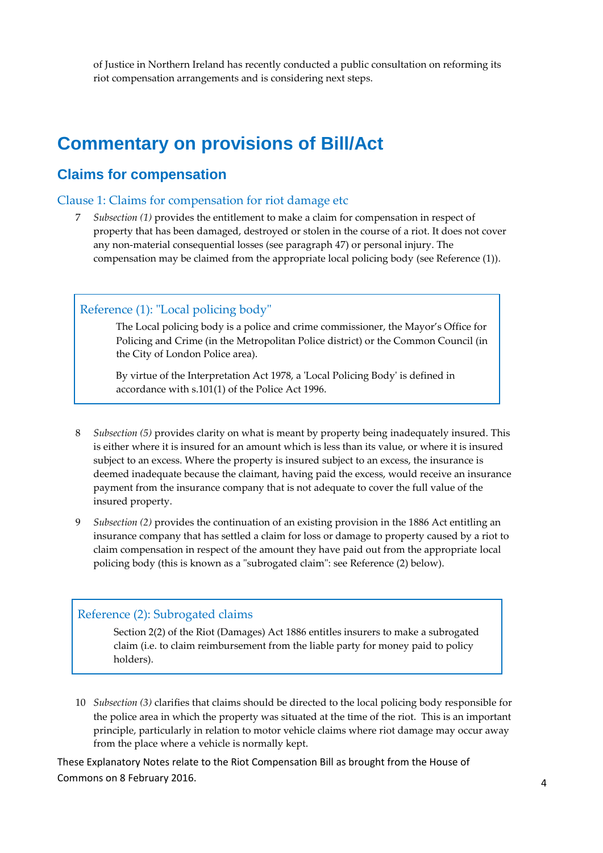of Justice in Northern Ireland has recently conducted a public consultation on reforming its riot compensation arrangements and is considering next steps.

### <span id="page-4-0"></span>**Commentary on provisions of Bill/Act**

#### <span id="page-4-1"></span>**Claims for compensation**

#### <span id="page-4-2"></span>Clause 1: Claims for compensation for riot damage etc

7 *Subsection (1)* provides the entitlement to make a claim for compensation in respect of property that has been damaged, destroyed or stolen in the course of a riot. It does not cover any non-material consequential losses (see paragraph 47) or personal injury. The compensation may be claimed from the appropriate local policing body (see Reference (1)).

#### <span id="page-4-3"></span>Reference (1): "Local policing body"

 The Local policing body is a police and crime commissioner, the Mayor's Office for Policing and Crime (in the Metropolitan Police district) or the Common Council (in the City of London Police area).

 By virtue of the Interpretation Act 1978, a 'Local Policing Body' is defined in accordance with s.101(1) of the Police Act 1996.

- 8 *Subsection (5)* provides clarity on what is meant by property being inadequately insured. This is either where it is insured for an amount which is less than its value, or where it is insured subject to an excess. Where the property is insured subject to an excess, the insurance is deemed inadequate because the claimant, having paid the excess, would receive an insurance payment from the insurance company that is not adequate to cover the full value of the insured property.
- 9 *Subsection (2)* provides the continuation of an existing provision in the 1886 Act entitling an insurance company that has settled a claim for loss or damage to property caused by a riot to claim compensation in respect of the amount they have paid out from the appropriate local policing body (this is known as a "subrogated claim": see Reference (2) below).

#### <span id="page-4-4"></span>Reference (2): Subrogated claims

Section 2(2) of the Riot (Damages) Act 1886 entitles insurers to make a subrogated claim (i.e. to claim reimbursement from the liable party for money paid to policy holders).

10 *Subsection (3)* clarifies that claims should be directed to the local policing body responsible for the police area in which the property was situated at the time of the riot. This is an important principle, particularly in relation to motor vehicle claims where riot damage may occur away from the place where a vehicle is normally kept.

These Explanatory Notes relate to the Riot Compensation Bill as brought from the House of Commons on 8 February 2016. And the state of the state of the state of the state of the state of the state of the state of the state of the state of the state of the state of the state of the state of the state of the stat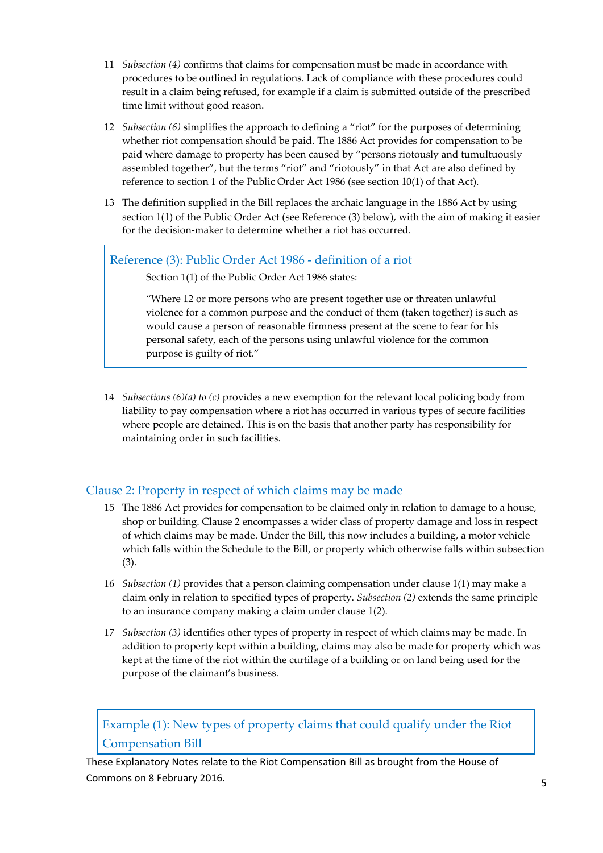- 11 *Subsection (4)* confirms that claims for compensation must be made in accordance with procedures to be outlined in regulations. Lack of compliance with these procedures could result in a claim being refused, for example if a claim is submitted outside of the prescribed time limit without good reason.
- 12 *Subsection (6)* simplifies the approach to defining a "riot" for the purposes of determining whether riot compensation should be paid. The 1886 Act provides for compensation to be paid where damage to property has been caused by "persons riotously and tumultuously assembled together", but the terms "riot" and "riotously" in that Act are also defined by reference to section 1 of the Public Order Act 1986 (see section 10(1) of that Act).
- 13 The definition supplied in the Bill replaces the archaic language in the 1886 Act by using section 1(1) of the Public Order Act (see Reference (3) below), with the aim of making it easier for the decision-maker to determine whether a riot has occurred.

#### <span id="page-5-0"></span>Reference (3): Public Order Act 1986 - definition of a riot

Section 1(1) of the Public Order Act 1986 states:

"Where 12 or more persons who are present together use or threaten unlawful violence for a common purpose and the conduct of them (taken together) is such as would cause a person of reasonable firmness present at the scene to fear for his personal safety, each of the persons using unlawful violence for the common purpose is guilty of riot."

14 *Subsections (6)(a) to (c)* provides a new exemption for the relevant local policing body from liability to pay compensation where a riot has occurred in various types of secure facilities where people are detained. This is on the basis that another party has responsibility for maintaining order in such facilities.

#### <span id="page-5-1"></span>Clause 2: Property in respect of which claims may be made

- 15 The 1886 Act provides for compensation to be claimed only in relation to damage to a house, shop or building. Clause 2 encompasses a wider class of property damage and loss in respect of which claims may be made. Under the Bill, this now includes a building, a motor vehicle which falls within the Schedule to the Bill, or property which otherwise falls within subsection (3).
- 16 *Subsection (1)* provides that a person claiming compensation under clause 1(1) may make a claim only in relation to specified types of property. *Subsection (2)* extends the same principle to an insurance company making a claim under clause 1(2).
- 17 *Subsection (3)* identifies other types of property in respect of which claims may be made. In addition to property kept within a building, claims may also be made for property which was kept at the time of the riot within the curtilage of a building or on land being used for the purpose of the claimant's business.

### <span id="page-5-2"></span>Example (1): New types of property claims that could qualify under the Riot Compensation Bill

These Explanatory Notes relate to the Riot Compensation Bill as brought from the House of Commons on 8 February 2016. The set of the set of the set of the set of the set of the set of the set of the set of the set of the set of the set of the set of the set of the set of the set of the set of the set of the set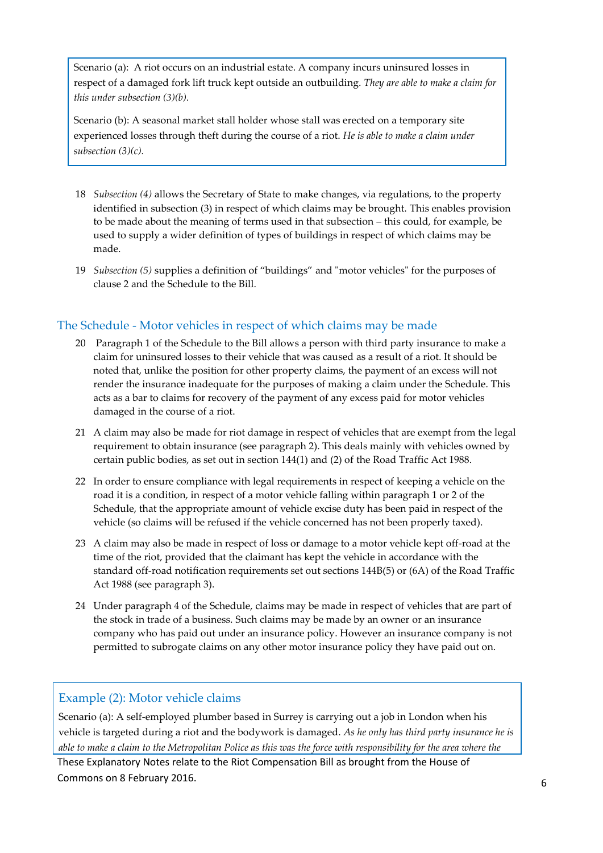Scenario (a): A riot occurs on an industrial estate. A company incurs uninsured losses in respect of a damaged fork lift truck kept outside an outbuilding. *They are able to make a claim for this under subsection (3)(b).*

Scenario (b): A seasonal market stall holder whose stall was erected on a temporary site experienced losses through theft during the course of a riot. *He is able to make a claim under subsection (3)(c).*

- 18 *Subsection (4)* allows the Secretary of State to make changes, via regulations, to the property identified in subsection (3) in respect of which claims may be brought. This enables provision to be made about the meaning of terms used in that subsection – this could, for example, be used to supply a wider definition of types of buildings in respect of which claims may be made.
- 19 *Subsection (5)* supplies a definition of "buildings" and "motor vehicles" for the purposes of clause 2 and the Schedule to the Bill.

#### <span id="page-6-0"></span>The Schedule - Motor vehicles in respect of which claims may be made

- 20 Paragraph 1 of the Schedule to the Bill allows a person with third party insurance to make a claim for uninsured losses to their vehicle that was caused as a result of a riot. It should be noted that, unlike the position for other property claims, the payment of an excess will not render the insurance inadequate for the purposes of making a claim under the Schedule. This acts as a bar to claims for recovery of the payment of any excess paid for motor vehicles damaged in the course of a riot.
- 21 A claim may also be made for riot damage in respect of vehicles that are exempt from the legal requirement to obtain insurance (see paragraph 2). This deals mainly with vehicles owned by certain public bodies, as set out in section 144(1) and (2) of the Road Traffic Act 1988.
- 22 In order to ensure compliance with legal requirements in respect of keeping a vehicle on the road it is a condition, in respect of a motor vehicle falling within paragraph 1 or 2 of the Schedule, that the appropriate amount of vehicle excise duty has been paid in respect of the vehicle (so claims will be refused if the vehicle concerned has not been properly taxed).
- 23 A claim may also be made in respect of loss or damage to a motor vehicle kept off-road at the time of the riot, provided that the claimant has kept the vehicle in accordance with the standard off-road notification requirements set out sections 144B(5) or (6A) of the Road Traffic Act 1988 (see paragraph 3).
- 24 Under paragraph 4 of the Schedule, claims may be made in respect of vehicles that are part of the stock in trade of a business. Such claims may be made by an owner or an insurance company who has paid out under an insurance policy. However an insurance company is not permitted to subrogate claims on any other motor insurance policy they have paid out on.

#### <span id="page-6-1"></span>Example (2): Motor vehicle claims

Scenario (a): A self-employed plumber based in Surrey is carrying out a job in London when his vehicle is targeted during a riot and the bodywork is damaged. *As he only has third party insurance he is able to make a claim to the Metropolitan Police as this was the force with responsibility for the area where the*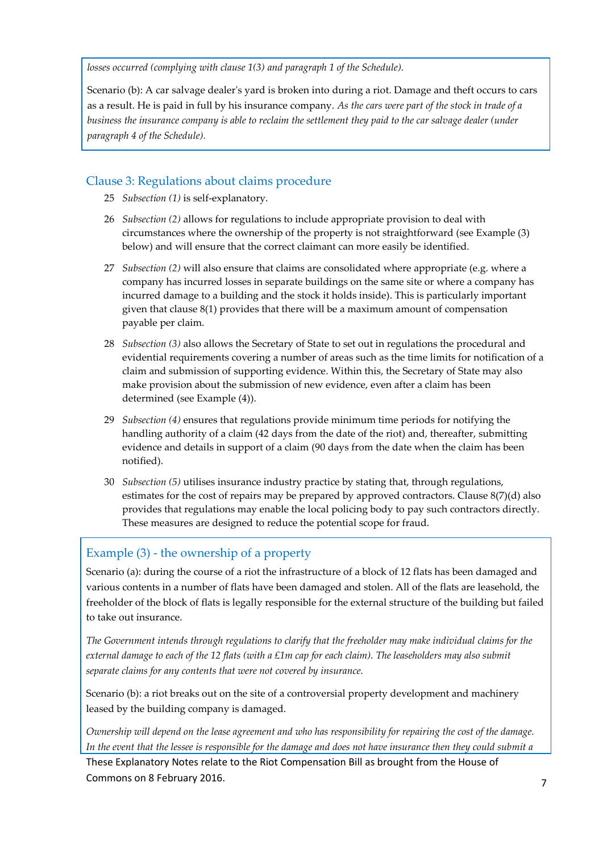*losses occurred (complying with clause 1(3) and paragraph 1 of the Schedule).*

Scenario (b): A car salvage dealer's yard is broken into during a riot. Damage and theft occurs to cars as a result. He is paid in full by his insurance company. *As the cars were part of the stock in trade of a business the insurance company is able to reclaim the settlement they paid to the car salvage dealer (under paragraph 4 of the Schedule).*

#### <span id="page-7-0"></span>Clause 3: Regulations about claims procedure

- 25 *Subsection (1)* is self-explanatory.
- 26 *Subsection (2)* allows for regulations to include appropriate provision to deal with circumstances where the ownership of the property is not straightforward (see Example (3) below) and will ensure that the correct claimant can more easily be identified.
- 27 *Subsection (2)* will also ensure that claims are consolidated where appropriate (e.g. where a company has incurred losses in separate buildings on the same site or where a company has incurred damage to a building and the stock it holds inside). This is particularly important given that clause 8(1) provides that there will be a maximum amount of compensation payable per claim.
- 28 *Subsection (3)* also allows the Secretary of State to set out in regulations the procedural and evidential requirements covering a number of areas such as the time limits for notification of a claim and submission of supporting evidence. Within this, the Secretary of State may also make provision about the submission of new evidence, even after a claim has been determined (see Example (4)).
- 29 *Subsection (4)* ensures that regulations provide minimum time periods for notifying the handling authority of a claim (42 days from the date of the riot) and, thereafter, submitting evidence and details in support of a claim (90 days from the date when the claim has been notified).
- 30 *Subsection (5)* utilises insurance industry practice by stating that, through regulations, estimates for the cost of repairs may be prepared by approved contractors. Clause  $8(7)(d)$  also provides that regulations may enable the local policing body to pay such contractors directly. These measures are designed to reduce the potential scope for fraud.

### <span id="page-7-1"></span>Example (3) - the ownership of a property

Scenario (a): during the course of a riot the infrastructure of a block of 12 flats has been damaged and various contents in a number of flats have been damaged and stolen. All of the flats are leasehold, the freeholder of the block of flats is legally responsible for the external structure of the building but failed to take out insurance.

*The Government intends through regulations to clarify that the freeholder may make individual claims for the external damage to each of the 12 flats (with a £1m cap for each claim). The leaseholders may also submit separate claims for any contents that were not covered by insurance.*

Scenario (b): a riot breaks out on the site of a controversial property development and machinery leased by the building company is damaged.

*Ownership will depend on the lease agreement and who has responsibility for repairing the cost of the damage. In the event that the lessee is responsible for the damage and does not have insurance then they could submit a* 

These Explanatory Notes relate to the Riot Compensation Bill as brought from the House of Commons on 8 February 2016. The state of the state of the state of the state of the state of the state of the state of the state of the state of the state of the state of the state of the state of the state of the state of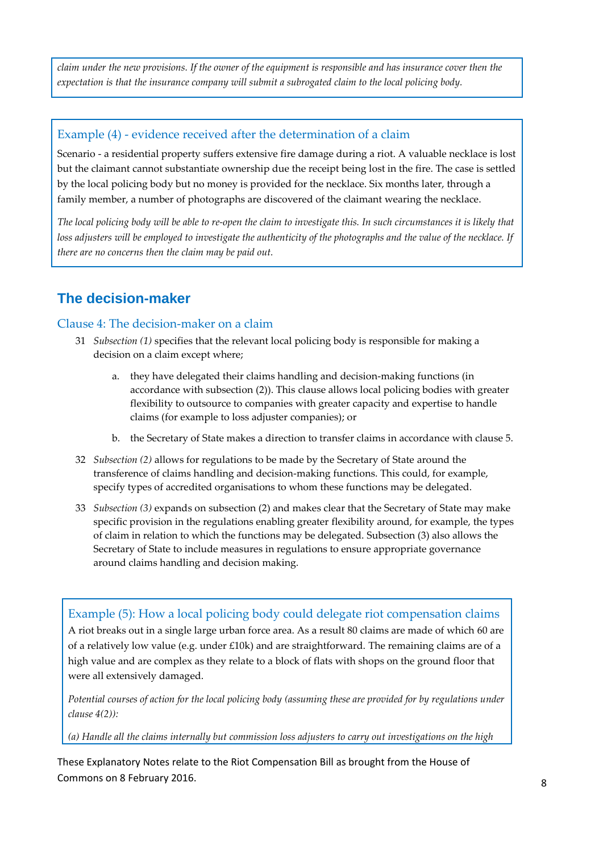*claim under the new provisions. If the owner of the equipment is responsible and has insurance cover then the expectation is that the insurance company will submit a subrogated claim to the local policing body.*

#### <span id="page-8-0"></span>Example (4) - evidence received after the determination of a claim

Scenario - a residential property suffers extensive fire damage during a riot. A valuable necklace is lost but the claimant cannot substantiate ownership due the receipt being lost in the fire. The case is settled by the local policing body but no money is provided for the necklace. Six months later, through a family member, a number of photographs are discovered of the claimant wearing the necklace.

*The local policing body will be able to re-open the claim to investigate this. In such circumstances it is likely that*  loss adjusters will be employed to investigate the authenticity of the photographs and the value of the necklace. If *there are no concerns then the claim may be paid out.*

### <span id="page-8-1"></span>**The decision-maker**

#### <span id="page-8-2"></span>Clause 4: The decision-maker on a claim

- 31 *Subsection (1)* specifies that the relevant local policing body is responsible for making a decision on a claim except where;
	- a. they have delegated their claims handling and decision-making functions (in accordance with subsection (2)). This clause allows local policing bodies with greater flexibility to outsource to companies with greater capacity and expertise to handle claims (for example to loss adjuster companies); or
	- b. the Secretary of State makes a direction to transfer claims in accordance with clause 5.
- 32 *Subsection (2)* allows for regulations to be made by the Secretary of State around the transference of claims handling and decision-making functions. This could, for example, specify types of accredited organisations to whom these functions may be delegated.
- 33 *Subsection (3)* expands on subsection (2) and makes clear that the Secretary of State may make specific provision in the regulations enabling greater flexibility around, for example, the types of claim in relation to which the functions may be delegated. Subsection (3) also allows the Secretary of State to include measures in regulations to ensure appropriate governance around claims handling and decision making.

### <span id="page-8-3"></span>Example (5): How a local policing body could delegate riot compensation claims

A riot breaks out in a single large urban force area. As a result 80 claims are made of which 60 are of a relatively low value (e.g. under £10k) and are straightforward. The remaining claims are of a high value and are complex as they relate to a block of flats with shops on the ground floor that were all extensively damaged.

*Potential courses of action for the local policing body (assuming these are provided for by regulations under clause 4(2)):*

*(a) Handle all the claims internally but commission loss adjusters to carry out investigations on the high* 

These Explanatory Notes relate to the Riot Compensation Bill as brought from the House of Commons on 8 February 2016. And the state of the state of the state of the state of the state of the state of the state of the state of the state of the state of the state of the state of the state of the state of the stat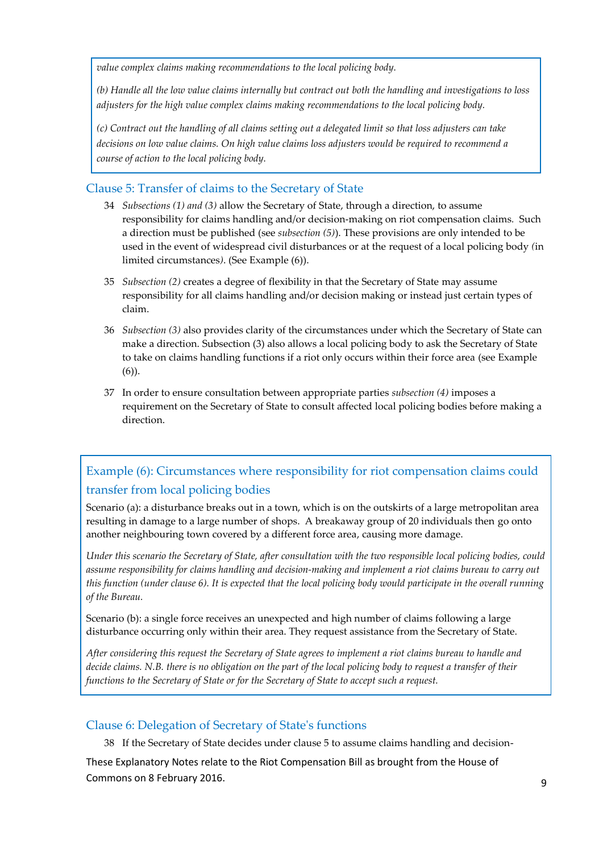*value complex claims making recommendations to the local policing body.*

*(b) Handle all the low value claims internally but contract out both the handling and investigations to loss adjusters for the high value complex claims making recommendations to the local policing body.*

*(c) Contract out the handling of all claims setting out a delegated limit so that loss adjusters can take decisions on low value claims. On high value claims loss adjusters would be required to recommend a course of action to the local policing body.*

#### <span id="page-9-0"></span>Clause 5: Transfer of claims to the Secretary of State

- 34 *Subsections (1) and (3)* allow the Secretary of State, through a direction, to assume responsibility for claims handling and/or decision-making on riot compensation claims*.* Such a direction must be published (see *subsection (5)*). These provisions are only intended to be used in the event of widespread civil disturbances or at the request of a local policing body *(*in limited circumstances*)*. (See Example (6)).
- 35 *Subsection (2)* creates a degree of flexibility in that the Secretary of State may assume responsibility for all claims handling and/or decision making or instead just certain types of claim.
- 36 *Subsection (3)* also provides clarity of the circumstances under which the Secretary of State can make a direction. Subsection (3) also allows a local policing body to ask the Secretary of State to take on claims handling functions if a riot only occurs within their force area (see Example (6)).
- 37 In order to ensure consultation between appropriate parties *subsection (4)* imposes a requirement on the Secretary of State to consult affected local policing bodies before making a direction.

### <span id="page-9-1"></span>Example (6): Circumstances where responsibility for riot compensation claims could transfer from local policing bodies

Scenario (a): a disturbance breaks out in a town, which is on the outskirts of a large metropolitan area resulting in damage to a large number of shops. A breakaway group of 20 individuals then go onto another neighbouring town covered by a different force area, causing more damage.

*Under this scenario the Secretary of State, after consultation with the two responsible local policing bodies, could assume responsibility for claims handling and decision-making and implement a riot claims bureau to carry out this function (under clause 6). It is expected that the local policing body would participate in the overall running of the Bureau.*

Scenario (b): a single force receives an unexpected and high number of claims following a large disturbance occurring only within their area. They request assistance from the Secretary of State.

*After considering this request the Secretary of State agrees to implement a riot claims bureau to handle and decide claims. N.B. there is no obligation on the part of the local policing body to request a transfer of their functions to the Secretary of State or for the Secretary of State to accept such a request.*

#### <span id="page-9-2"></span>Clause 6: Delegation of Secretary of State's functions

38 If the Secretary of State decides under clause 5 to assume claims handling and decision-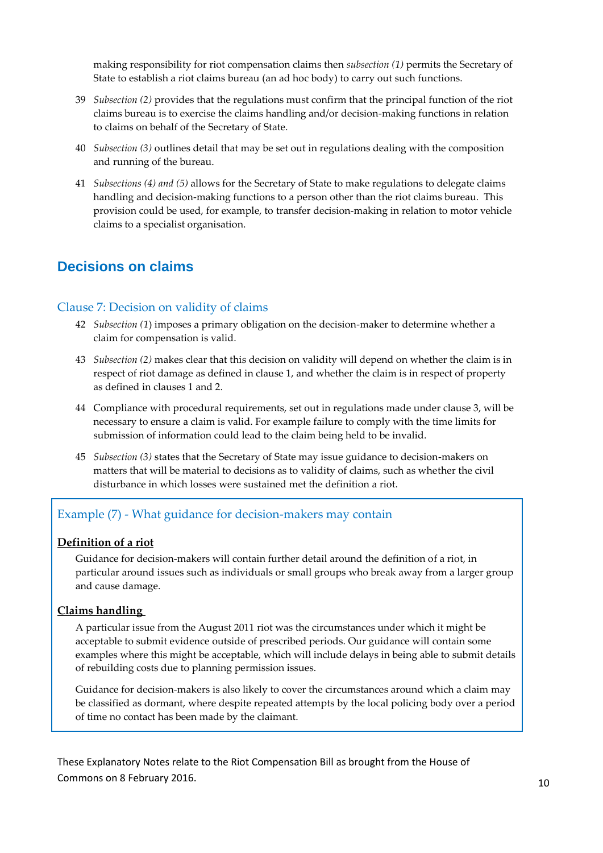making responsibility for riot compensation claims then *subsection (1)* permits the Secretary of State to establish a riot claims bureau (an ad hoc body) to carry out such functions.

- 39 *Subsection (2)* provides that the regulations must confirm that the principal function of the riot claims bureau is to exercise the claims handling and/or decision-making functions in relation to claims on behalf of the Secretary of State.
- 40 *Subsection (3)* outlines detail that may be set out in regulations dealing with the composition and running of the bureau.
- 41 *Subsections (4) and (5)* allows for the Secretary of State to make regulations to delegate claims handling and decision-making functions to a person other than the riot claims bureau. This provision could be used, for example, to transfer decision-making in relation to motor vehicle claims to a specialist organisation.

### <span id="page-10-0"></span>**Decisions on claims**

#### <span id="page-10-1"></span>Clause 7: Decision on validity of claims

- 42 *Subsection (1*) imposes a primary obligation on the decision-maker to determine whether a claim for compensation is valid.
- 43 *Subsection (2)* makes clear that this decision on validity will depend on whether the claim is in respect of riot damage as defined in clause 1, and whether the claim is in respect of property as defined in clauses 1 and 2.
- 44 Compliance with procedural requirements, set out in regulations made under clause 3, will be necessary to ensure a claim is valid. For example failure to comply with the time limits for submission of information could lead to the claim being held to be invalid.
- 45 *Subsection (3)* states that the Secretary of State may issue guidance to decision-makers on matters that will be material to decisions as to validity of claims, such as whether the civil disturbance in which losses were sustained met the definition a riot.

#### <span id="page-10-2"></span>Example (7) - What guidance for decision-makers may contain

#### <span id="page-10-3"></span>**Definition of a riot**

Guidance for decision-makers will contain further detail around the definition of a riot, in particular around issues such as individuals or small groups who break away from a larger group and cause damage.

#### <span id="page-10-4"></span>**Claims handling**

A particular issue from the August 2011 riot was the circumstances under which it might be acceptable to submit evidence outside of prescribed periods. Our guidance will contain some examples where this might be acceptable, which will include delays in being able to submit details of rebuilding costs due to planning permission issues.

Guidance for decision-makers is also likely to cover the circumstances around which a claim may be classified as dormant, where despite repeated attempts by the local policing body over a period of time no contact has been made by the claimant.

These Explanatory Notes relate to the Riot Compensation Bill as brought from the House of Commons on 8 February 2016. The state of the commons on 8 February 2016.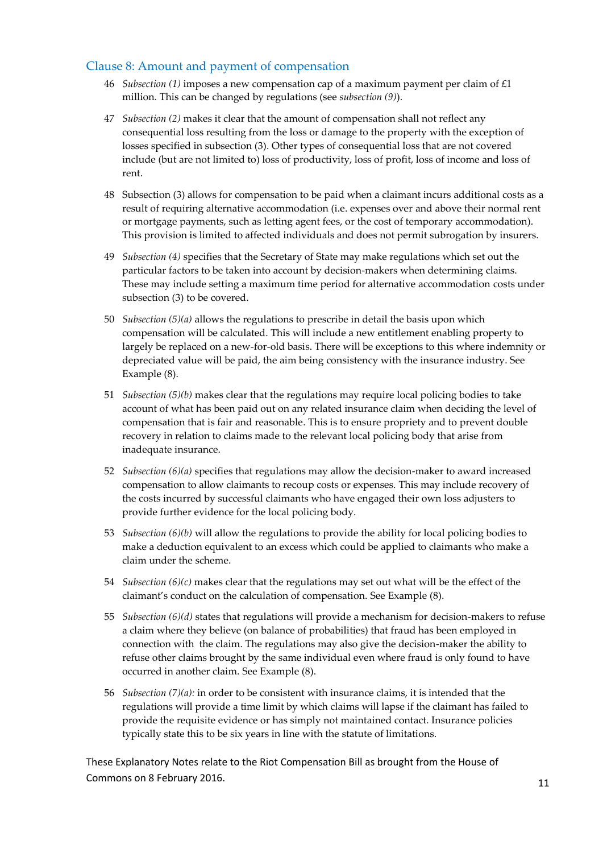#### <span id="page-11-0"></span>Clause 8: Amount and payment of compensation

- 46 *Subsection (1)* imposes a new compensation cap of a maximum payment per claim of £1 million. This can be changed by regulations (see *subsection (9)*).
- 47 *Subsection (2)* makes it clear that the amount of compensation shall not reflect any consequential loss resulting from the loss or damage to the property with the exception of losses specified in subsection (3). Other types of consequential loss that are not covered include (but are not limited to) loss of productivity, loss of profit, loss of income and loss of rent.
- 48 Subsection (3) allows for compensation to be paid when a claimant incurs additional costs as a result of requiring alternative accommodation (i.e. expenses over and above their normal rent or mortgage payments, such as letting agent fees, or the cost of temporary accommodation). This provision is limited to affected individuals and does not permit subrogation by insurers.
- 49 *Subsection (4)* specifies that the Secretary of State may make regulations which set out the particular factors to be taken into account by decision-makers when determining claims. These may include setting a maximum time period for alternative accommodation costs under subsection (3) to be covered.
- 50 *Subsection (5)(a)* allows the regulations to prescribe in detail the basis upon which compensation will be calculated. This will include a new entitlement enabling property to largely be replaced on a new-for-old basis. There will be exceptions to this where indemnity or depreciated value will be paid, the aim being consistency with the insurance industry. See Example (8).
- 51 *Subsection (5)(b)* makes clear that the regulations may require local policing bodies to take account of what has been paid out on any related insurance claim when deciding the level of compensation that is fair and reasonable. This is to ensure propriety and to prevent double recovery in relation to claims made to the relevant local policing body that arise from inadequate insurance.
- 52 *Subsection (6)(a)* specifies that regulations may allow the decision-maker to award increased compensation to allow claimants to recoup costs or expenses. This may include recovery of the costs incurred by successful claimants who have engaged their own loss adjusters to provide further evidence for the local policing body.
- 53 *Subsection (6)(b)* will allow the regulations to provide the ability for local policing bodies to make a deduction equivalent to an excess which could be applied to claimants who make a claim under the scheme.
- 54 *Subsection (6)(c)* makes clear that the regulations may set out what will be the effect of the claimant's conduct on the calculation of compensation. See Example (8).
- 55 *Subsection (6)(d)* states that regulations will provide a mechanism for decision-makers to refuse a claim where they believe (on balance of probabilities) that fraud has been employed in connection with the claim. The regulations may also give the decision-maker the ability to refuse other claims brought by the same individual even where fraud is only found to have occurred in another claim. See Example (8).
- 56 *Subsection (7)(a):* in order to be consistent with insurance claims, it is intended that the regulations will provide a time limit by which claims will lapse if the claimant has failed to provide the requisite evidence or has simply not maintained contact. Insurance policies typically state this to be six years in line with the statute of limitations.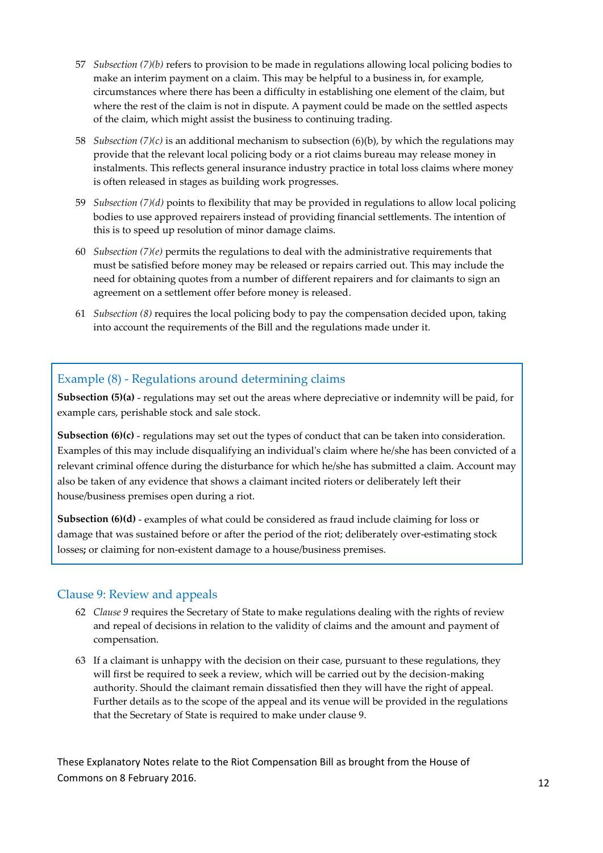- 57 *Subsection (7)(b)* refers to provision to be made in regulations allowing local policing bodies to make an interim payment on a claim. This may be helpful to a business in, for example, circumstances where there has been a difficulty in establishing one element of the claim, but where the rest of the claim is not in dispute. A payment could be made on the settled aspects of the claim, which might assist the business to continuing trading.
- 58 *Subsection (7)(c)* is an additional mechanism to subsection (6)(b), by which the regulations may provide that the relevant local policing body or a riot claims bureau may release money in instalments. This reflects general insurance industry practice in total loss claims where money is often released in stages as building work progresses.
- 59 *Subsection (7)(d)* points to flexibility that may be provided in regulations to allow local policing bodies to use approved repairers instead of providing financial settlements. The intention of this is to speed up resolution of minor damage claims.
- 60 *Subsection (7)(e)* permits the regulations to deal with the administrative requirements that must be satisfied before money may be released or repairs carried out. This may include the need for obtaining quotes from a number of different repairers and for claimants to sign an agreement on a settlement offer before money is released.
- 61 *Subsection (8)* requires the local policing body to pay the compensation decided upon, taking into account the requirements of the Bill and the regulations made under it.

#### <span id="page-12-0"></span>Example (8) - Regulations around determining claims

**Subsection (5)(a)** - regulations may set out the areas where depreciative or indemnity will be paid, for example cars, perishable stock and sale stock.

**Subsection (6)(c)** - regulations may set out the types of conduct that can be taken into consideration. Examples of this may include disqualifying an individual's claim where he/she has been convicted of a relevant criminal offence during the disturbance for which he/she has submitted a claim. Account may also be taken of any evidence that shows a claimant incited rioters or deliberately left their house/business premises open during a riot.

**Subsection (6)(d)** - examples of what could be considered as fraud include claiming for loss or damage that was sustained before or after the period of the riot; deliberately over-estimating stock losses**;** or claiming for non-existent damage to a house/business premises.

#### <span id="page-12-1"></span>Clause 9: Review and appeals

- 62 *Clause 9* requires the Secretary of State to make regulations dealing with the rights of review and repeal of decisions in relation to the validity of claims and the amount and payment of compensation.
- 63 If a claimant is unhappy with the decision on their case, pursuant to these regulations, they will first be required to seek a review, which will be carried out by the decision-making authority. Should the claimant remain dissatisfied then they will have the right of appeal. Further details as to the scope of the appeal and its venue will be provided in the regulations that the Secretary of State is required to make under clause 9.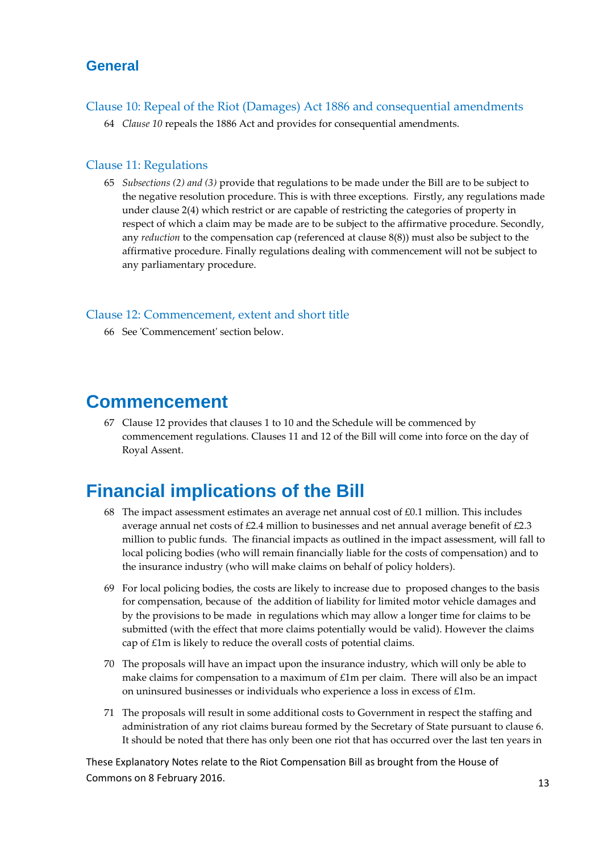### <span id="page-13-0"></span>**General**

<span id="page-13-1"></span>Clause 10: Repeal of the Riot (Damages) Act 1886 and consequential amendments

64 *Clause 10* repeals the 1886 Act and provides for consequential amendments.

#### <span id="page-13-2"></span>Clause 11: Regulations

65 *Subsections (2) and (3)* provide that regulations to be made under the Bill are to be subject to the negative resolution procedure. This is with three exceptions. Firstly, any regulations made under clause 2(4) which restrict or are capable of restricting the categories of property in respect of which a claim may be made are to be subject to the affirmative procedure. Secondly, any *reduction* to the compensation cap (referenced at clause 8(8)) must also be subject to the affirmative procedure. Finally regulations dealing with commencement will not be subject to any parliamentary procedure.

#### <span id="page-13-3"></span>Clause 12: Commencement, extent and short title

66 See 'Commencement' section below.

### <span id="page-13-4"></span>**Commencement**

67 Clause 12 provides that clauses 1 to 10 and the Schedule will be commenced by commencement regulations. Clauses 11 and 12 of the Bill will come into force on the day of Royal Assent.

## <span id="page-13-5"></span>**Financial implications of the Bill**

- 68 The impact assessment estimates an average net annual cost of  $£0.1$  million. This includes average annual net costs of  $£2.4$  million to businesses and net annual average benefit of  $£2.3$ million to public funds. The financial impacts as outlined in the impact assessment, will fall to local policing bodies (who will remain financially liable for the costs of compensation) and to the insurance industry (who will make claims on behalf of policy holders).
- 69 For local policing bodies, the costs are likely to increase due to proposed changes to the basis for compensation, because of the addition of liability for limited motor vehicle damages and by the provisions to be made in regulations which may allow a longer time for claims to be submitted (with the effect that more claims potentially would be valid). However the claims cap of £1m is likely to reduce the overall costs of potential claims.
- 70 The proposals will have an impact upon the insurance industry, which will only be able to make claims for compensation to a maximum of  $£1m$  per claim. There will also be an impact on uninsured businesses or individuals who experience a loss in excess of £1m.
- 71 The proposals will result in some additional costs to Government in respect the staffing and administration of any riot claims bureau formed by the Secretary of State pursuant to clause 6. It should be noted that there has only been one riot that has occurred over the last ten years in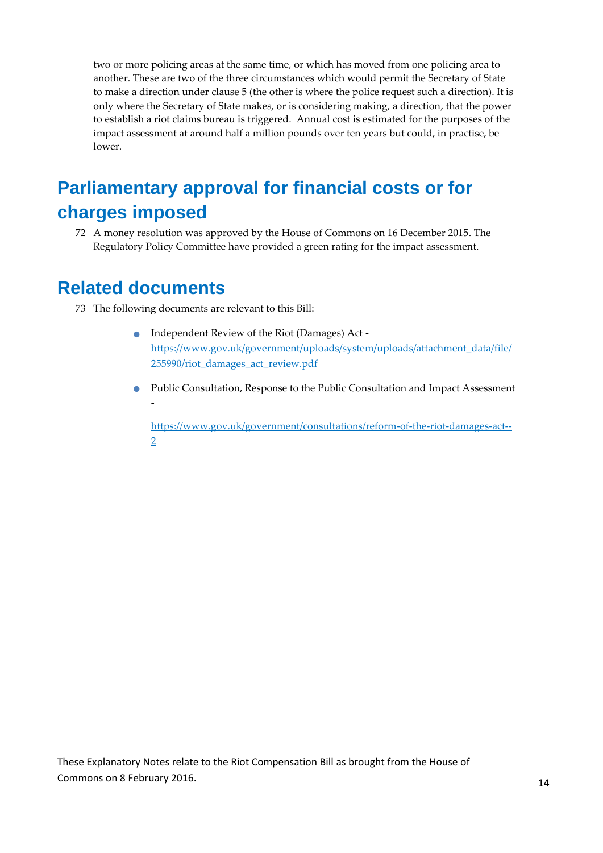two or more policing areas at the same time, or which has moved from one policing area to another. These are two of the three circumstances which would permit the Secretary of State to make a direction under clause 5 (the other is where the police request such a direction). It is only where the Secretary of State makes, or is considering making, a direction, that the power to establish a riot claims bureau is triggered. Annual cost is estimated for the purposes of the impact assessment at around half a million pounds over ten years but could, in practise, be lower.

# <span id="page-14-0"></span>**Parliamentary approval for financial costs or for charges imposed**

72 A money resolution was approved by the House of Commons on 16 December 2015. The Regulatory Policy Committee have provided a green rating for the impact assessment.

### <span id="page-14-1"></span>**Related documents**

- 73 The following documents are relevant to this Bill:
	- Independent Review of the Riot (Damages) Act [https://www.gov.uk/government/uploads/system/uploads/attachment\\_data/file/](https://www.gov.uk/government/uploads/system/uploads/attachment_data/file/255990/riot_damages_act_review.pdf) [255990/riot\\_damages\\_act\\_review.pdf](https://www.gov.uk/government/uploads/system/uploads/attachment_data/file/255990/riot_damages_act_review.pdf)
	- Public Consultation, Response to the Public Consultation and Impact Assessment -

[https://www.gov.uk/government/consultations/reform-of-the-riot-damages-act--](https://www.gov.uk/government/consultations/reform-of-the-riot-damages-act--2) [2](https://www.gov.uk/government/consultations/reform-of-the-riot-damages-act--2)

These Explanatory Notes relate to the Riot Compensation Bill as brought from the House of Commons on 8 February 2016. The state of the commons on 8 February 2016.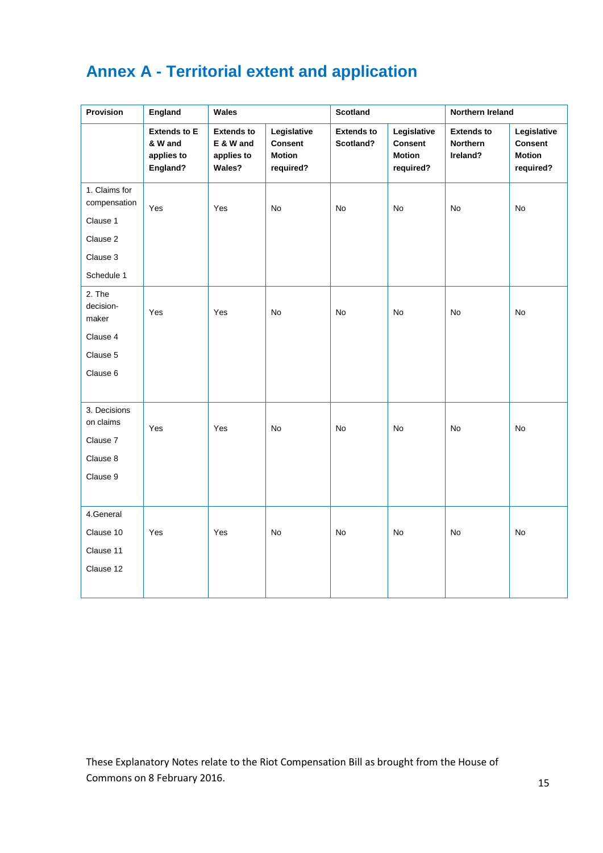# <span id="page-15-0"></span>**Annex A - Territorial extent and application**

| Provision                                                                       | England                                                  | Wales                                                  |                                                             | <b>Scotland</b>                |                                                             | Northern Ireland                          |                                                      |
|---------------------------------------------------------------------------------|----------------------------------------------------------|--------------------------------------------------------|-------------------------------------------------------------|--------------------------------|-------------------------------------------------------------|-------------------------------------------|------------------------------------------------------|
|                                                                                 | <b>Extends to E</b><br>& W and<br>applies to<br>England? | <b>Extends to</b><br>E & W and<br>applies to<br>Wales? | Legislative<br><b>Consent</b><br><b>Motion</b><br>required? | <b>Extends to</b><br>Scotland? | Legislative<br><b>Consent</b><br><b>Motion</b><br>required? | <b>Extends to</b><br>Northern<br>Ireland? | Legislative<br>Consent<br><b>Motion</b><br>required? |
| 1. Claims for<br>compensation<br>Clause 1<br>Clause 2<br>Clause 3<br>Schedule 1 | Yes                                                      | Yes                                                    | No                                                          | No                             | No                                                          | No                                        | No                                                   |
| 2. The<br>decision-<br>maker<br>Clause 4<br>Clause 5<br>Clause 6                | Yes                                                      | Yes                                                    | No                                                          | No                             | No                                                          | No                                        | <b>No</b>                                            |
| 3. Decisions<br>on claims<br>Clause 7<br>Clause 8<br>Clause 9                   | Yes                                                      | Yes                                                    | No                                                          | No                             | No                                                          | No                                        | No                                                   |
| 4.General<br>Clause 10<br>Clause 11<br>Clause 12                                | Yes                                                      | Yes                                                    | No                                                          | No                             | No                                                          | No                                        | No                                                   |